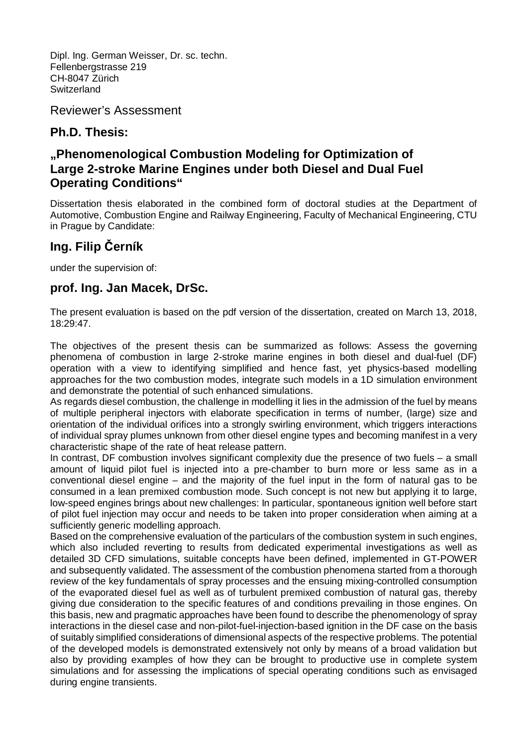Dipl. Ing. German Weisser, Dr. sc. techn. Fellenbergstrasse 219 CH-8047 Zürich Switzerland

Reviewer's Assessment

## **Ph.D. Thesis:**

## **"Phenomenological Combustion Modeling for Optimization of Large 2-stroke Marine Engines under both Diesel and Dual Fuel Operating Conditions"**

Dissertation thesis elaborated in the combined form of doctoral studies at the Department of Automotive, Combustion Engine and Railway Engineering, Faculty of Mechanical Engineering, CTU in Prague by Candidate:

## **Ing. Filip Černík**

under the supervision of:

## **prof. Ing. Jan Macek, DrSc.**

The present evaluation is based on the pdf version of the dissertation, created on March 13, 2018, 18:29:47.

The objectives of the present thesis can be summarized as follows: Assess the governing phenomena of combustion in large 2-stroke marine engines in both diesel and dual-fuel (DF) operation with a view to identifying simplified and hence fast, yet physics-based modelling approaches for the two combustion modes, integrate such models in a 1D simulation environment and demonstrate the potential of such enhanced simulations.

As regards diesel combustion, the challenge in modelling it lies in the admission of the fuel by means of multiple peripheral injectors with elaborate specification in terms of number, (large) size and orientation of the individual orifices into a strongly swirling environment, which triggers interactions of individual spray plumes unknown from other diesel engine types and becoming manifest in a very characteristic shape of the rate of heat release pattern.

In contrast, DF combustion involves significant complexity due the presence of two fuels – a small amount of liquid pilot fuel is injected into a pre-chamber to burn more or less same as in a conventional diesel engine – and the majority of the fuel input in the form of natural gas to be consumed in a lean premixed combustion mode. Such concept is not new but applying it to large, low-speed engines brings about new challenges: In particular, spontaneous ignition well before start of pilot fuel injection may occur and needs to be taken into proper consideration when aiming at a sufficiently generic modelling approach.

Based on the comprehensive evaluation of the particulars of the combustion system in such engines, which also included reverting to results from dedicated experimental investigations as well as detailed 3D CFD simulations, suitable concepts have been defined, implemented in GT-POWER and subsequently validated. The assessment of the combustion phenomena started from a thorough review of the key fundamentals of spray processes and the ensuing mixing-controlled consumption of the evaporated diesel fuel as well as of turbulent premixed combustion of natural gas, thereby giving due consideration to the specific features of and conditions prevailing in those engines. On this basis, new and pragmatic approaches have been found to describe the phenomenology of spray interactions in the diesel case and non-pilot-fuel-injection-based ignition in the DF case on the basis of suitably simplified considerations of dimensional aspects of the respective problems. The potential of the developed models is demonstrated extensively not only by means of a broad validation but also by providing examples of how they can be brought to productive use in complete system simulations and for assessing the implications of special operating conditions such as envisaged during engine transients.